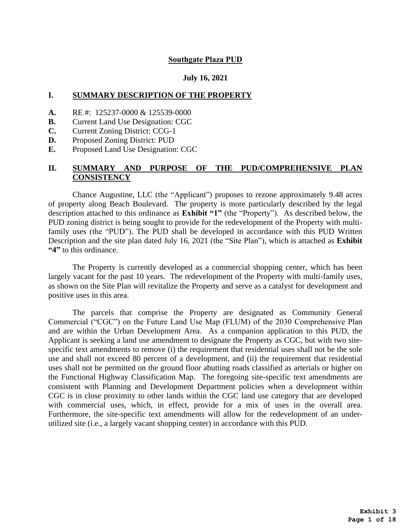#### **Southgate Plaza PUD**

#### **July 16, 2021**

#### **I. SUMMARY DESCRIPTION OF THE PROPERTY**

- **A.** RE #: 125237-0000 & 125539-0000
- **B.** Current Land Use Designation: CGC
- **C.** Current Zoning District: CCG-1
- **D.** Proposed Zoning District: PUD
- **E.** Proposed Land Use Designation: CGC

#### **II. SUMMARY AND PURPOSE OF THE PUD/COMPREHENSIVE PLAN CONSISTENCY**

Chance Augustine, LLC (the "Applicant") proposes to rezone approximately 9.48 acres of property along Beach Boulevard. The property is more particularly described by the legal description attached to this ordinance as **Exhibit "1"** (the "Property"). As described below, the PUD zoning district is being sought to provide for the redevelopment of the Property with multifamily uses (the "PUD"). The PUD shall be developed in accordance with this PUD Written Description and the site plan dated July 16, 2021 (the "Site Plan"), which is attached as **Exhibit "4"** to this ordinance.

The Property is currently developed as a commercial shopping center, which has been largely vacant for the past 10 years. The redevelopment of the Property with multi-family uses, as shown on the Site Plan will revitalize the Property and serve as a catalyst for development and positive uses in this area.

The parcels that comprise the Property are designated as Community General Commercial ("CGC") on the Future Land Use Map (FLUM) of the 2030 Comprehensive Plan and are within the Urban Development Area. As a companion application to this PUD, the Applicant is seeking a land use amendment to designate the Property as CGC, but with two sitespecific text amendments to remove (i) the requirement that residential uses shall not be the sole use and shall not exceed 80 percent of a development, and (ii) the requirement that residential uses shall not be permitted on the ground floor abutting roads classified as arterials or higher on the Functional Highway Classification Map. The foregoing site-specific text amendments are consistent with Planning and Development Department policies when a development within CGC is in close proximity to other lands within the CGC land use category that are developed with commercial uses, which, in effect, provide for a mix of uses in the overall area. Furthermore, the site-specific text amendments will allow for the redevelopment of an underutilized site (i.e., a largely vacant shopping center) in accordance with this PUD.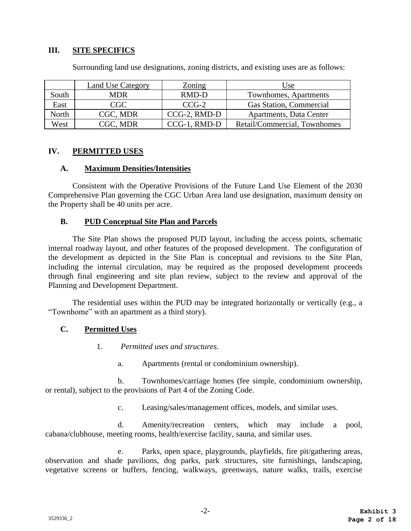## **III. SITE SPECIFICS**

|       | Land Use Category | <b>Zoning</b> | Use                          |
|-------|-------------------|---------------|------------------------------|
| South | <b>MDR</b>        | RMD-D         | Townhomes, Apartments        |
| East  | CGC               | $CCG-2$       | Gas Station, Commercial      |
| North | CGC, MDR          | CCG-2, RMD-D  | Apartments, Data Center      |
| West  | CGC. MDR          | CCG-1, RMD-D  | Retail/Commercial, Townhomes |

Surrounding land use designations, zoning districts, and existing uses are as follows:

# **IV. PERMITTED USES**

#### **A. Maximum Densities/Intensities**

Consistent with the Operative Provisions of the Future Land Use Element of the 2030 Comprehensive Plan governing the CGC Urban Area land use designation, maximum density on the Property shall be 40 units per acre.

#### **B. PUD Conceptual Site Plan and Parcels**

The Site Plan shows the proposed PUD layout, including the access points, schematic internal roadway layout, and other features of the proposed development. The configuration of the development as depicted in the Site Plan is conceptual and revisions to the Site Plan, including the internal circulation, may be required as the proposed development proceeds through final engineering and site plan review, subject to the review and approval of the Planning and Development Department.

The residential uses within the PUD may be integrated horizontally or vertically (e.g., a "Townhome" with an apartment as a third story).

#### **C. Permitted Uses**

- 1. *Permitted uses and structures.*
	- a. Apartments (rental or condominium ownership).

b. Townhomes/carriage homes (fee simple, condominium ownership, or rental), subject to the provisions of Part 4 of the Zoning Code.

c. Leasing/sales/management offices, models, and similar uses.

d. Amenity/recreation centers, which may include a pool, cabana/clubhouse, meeting rooms, health/exercise facility, sauna, and similar uses.

e. Parks, open space, playgrounds, playfields, fire pit/gathering areas, observation and shade pavilions, dog parks, park structures, site furnishings, landscaping, vegetative screens or buffers, fencing, walkways, greenways, nature walks, trails, exercise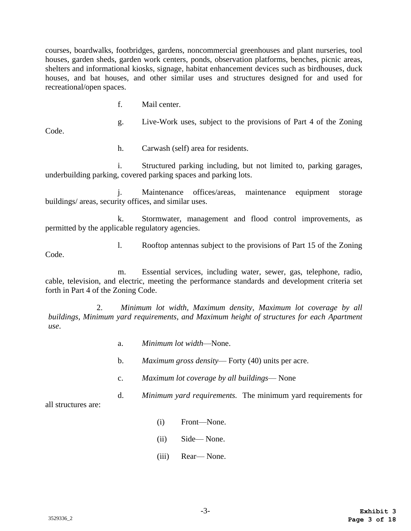courses, boardwalks, footbridges, gardens, noncommercial greenhouses and plant nurseries, tool houses, garden sheds, garden work centers, ponds, observation platforms, benches, picnic areas, shelters and informational kiosks, signage, habitat enhancement devices such as birdhouses, duck houses, and bat houses, and other similar uses and structures designed for and used for recreational/open spaces.

f. Mail center.

Code.

h. Carwash (self) area for residents.

i. Structured parking including, but not limited to, parking garages, underbuilding parking, covered parking spaces and parking lots.

j. Maintenance offices/areas, maintenance equipment storage buildings/ areas, security offices, and similar uses.

k. Stormwater, management and flood control improvements, as permitted by the applicable regulatory agencies.

Code.

l. Rooftop antennas subject to the provisions of Part 15 of the Zoning

g. Live-Work uses, subject to the provisions of Part 4 of the Zoning

m. Essential services, including water, sewer, gas, telephone, radio, cable, television, and electric, meeting the performance standards and development criteria set forth in Part 4 of the Zoning Code.

2. *Minimum lot width, Maximum density, Maximum lot coverage by all buildings, Minimum yard requirements, and Maximum height of structures for each Apartment use*.

- a. *Minimum lot width*—None.
- b. *Maximum gross density* Forty (40) units per acre.
- c. *Maximum lot coverage by all buildings* None
- d. *Minimum yard requirements.* The minimum yard requirements for

all structures are:

- (i) Front—None.
- (ii) Side— None.
- (iii) Rear— None.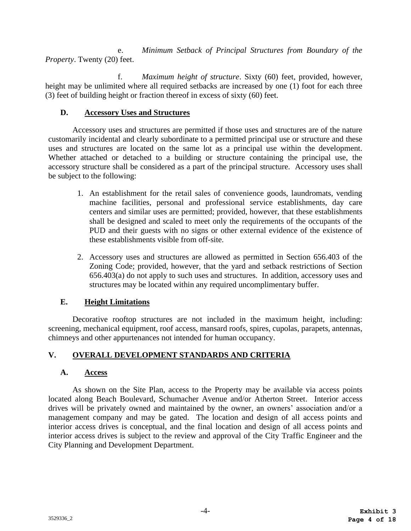e. *Minimum Setback of Principal Structures from Boundary of the Property*. Twenty (20) feet.

f. *Maximum height of structure*. Sixty (60) feet, provided, however, height may be unlimited where all required setbacks are increased by one (1) foot for each three (3) feet of building height or fraction thereof in excess of sixty (60) feet.

# **D. Accessory Uses and Structures**

Accessory uses and structures are permitted if those uses and structures are of the nature customarily incidental and clearly subordinate to a permitted principal use or structure and these uses and structures are located on the same lot as a principal use within the development. Whether attached or detached to a building or structure containing the principal use, the accessory structure shall be considered as a part of the principal structure. Accessory uses shall be subject to the following:

- 1. An establishment for the retail sales of convenience goods, laundromats, vending machine facilities, personal and professional service establishments, day care centers and similar uses are permitted; provided, however, that these establishments shall be designed and scaled to meet only the requirements of the occupants of the PUD and their guests with no signs or other external evidence of the existence of these establishments visible from off-site.
- 2. Accessory uses and structures are allowed as permitted in Section 656.403 of the Zoning Code; provided, however, that the yard and setback restrictions of Section 656.403(a) do not apply to such uses and structures. In addition, accessory uses and structures may be located within any required uncomplimentary buffer.

# **E. Height Limitations**

Decorative rooftop structures are not included in the maximum height, including: screening, mechanical equipment, roof access, mansard roofs, spires, cupolas, parapets, antennas, chimneys and other appurtenances not intended for human occupancy.

# **V. OVERALL DEVELOPMENT STANDARDS AND CRITERIA**

# **A. Access**

As shown on the Site Plan, access to the Property may be available via access points located along Beach Boulevard, Schumacher Avenue and/or Atherton Street. Interior access drives will be privately owned and maintained by the owner, an owners' association and/or a management company and may be gated. The location and design of all access points and interior access drives is conceptual, and the final location and design of all access points and interior access drives is subject to the review and approval of the City Traffic Engineer and the City Planning and Development Department.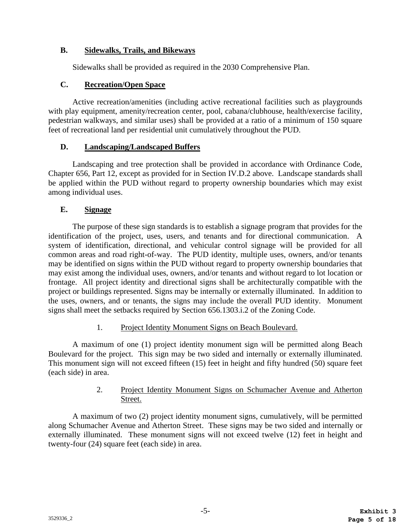# **B. Sidewalks, Trails, and Bikeways**

Sidewalks shall be provided as required in the 2030 Comprehensive Plan.

#### **C. Recreation/Open Space**

Active recreation/amenities (including active recreational facilities such as playgrounds with play equipment, amenity/recreation center, pool, cabana/clubhouse, health/exercise facility, pedestrian walkways, and similar uses) shall be provided at a ratio of a minimum of 150 square feet of recreational land per residential unit cumulatively throughout the PUD.

#### **D. Landscaping/Landscaped Buffers**

Landscaping and tree protection shall be provided in accordance with Ordinance Code, Chapter 656, Part 12, except as provided for in Section IV.D.2 above. Landscape standards shall be applied within the PUD without regard to property ownership boundaries which may exist among individual uses.

# **E. Signage**

The purpose of these sign standards is to establish a signage program that provides for the identification of the project, uses, users, and tenants and for directional communication. A system of identification, directional, and vehicular control signage will be provided for all common areas and road right-of-way. The PUD identity, multiple uses, owners, and/or tenants may be identified on signs within the PUD without regard to property ownership boundaries that may exist among the individual uses, owners, and/or tenants and without regard to lot location or frontage. All project identity and directional signs shall be architecturally compatible with the project or buildings represented. Signs may be internally or externally illuminated. In addition to the uses, owners, and or tenants, the signs may include the overall PUD identity. Monument signs shall meet the setbacks required by Section 656.1303.i.2 of the Zoning Code.

#### 1. Project Identity Monument Signs on Beach Boulevard.

A maximum of one (1) project identity monument sign will be permitted along Beach Boulevard for the project. This sign may be two sided and internally or externally illuminated. This monument sign will not exceed fifteen (15) feet in height and fifty hundred (50) square feet (each side) in area.

# 2. Project Identity Monument Signs on Schumacher Avenue and Atherton Street.

A maximum of two (2) project identity monument signs, cumulatively, will be permitted along Schumacher Avenue and Atherton Street. These signs may be two sided and internally or externally illuminated. These monument signs will not exceed twelve (12) feet in height and twenty-four (24) square feet (each side) in area.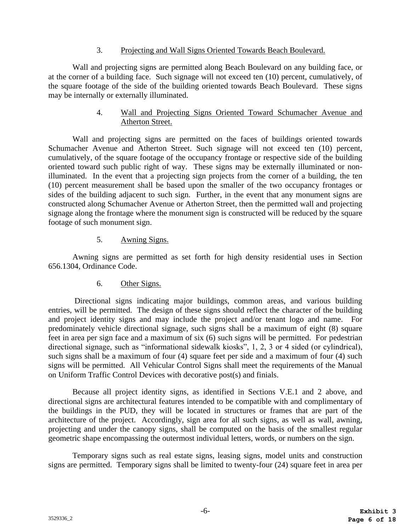#### 3. Projecting and Wall Signs Oriented Towards Beach Boulevard.

Wall and projecting signs are permitted along Beach Boulevard on any building face, or at the corner of a building face. Such signage will not exceed ten (10) percent, cumulatively, of the square footage of the side of the building oriented towards Beach Boulevard. These signs may be internally or externally illuminated.

#### 4. Wall and Projecting Signs Oriented Toward Schumacher Avenue and Atherton Street.

Wall and projecting signs are permitted on the faces of buildings oriented towards Schumacher Avenue and Atherton Street. Such signage will not exceed ten (10) percent, cumulatively, of the square footage of the occupancy frontage or respective side of the building oriented toward such public right of way. These signs may be externally illuminated or nonilluminated. In the event that a projecting sign projects from the corner of a building, the ten (10) percent measurement shall be based upon the smaller of the two occupancy frontages or sides of the building adjacent to such sign. Further, in the event that any monument signs are constructed along Schumacher Avenue or Atherton Street, then the permitted wall and projecting signage along the frontage where the monument sign is constructed will be reduced by the square footage of such monument sign.

# 5. Awning Signs.

Awning signs are permitted as set forth for high density residential uses in Section 656.1304, Ordinance Code.

# 6. Other Signs.

Directional signs indicating major buildings, common areas, and various building entries, will be permitted. The design of these signs should reflect the character of the building and project identity signs and may include the project and/or tenant logo and name. For predominately vehicle directional signage, such signs shall be a maximum of eight (8) square feet in area per sign face and a maximum of six (6) such signs will be permitted. For pedestrian directional signage, such as "informational sidewalk kiosks", 1, 2, 3 or 4 sided (or cylindrical), such signs shall be a maximum of four (4) square feet per side and a maximum of four (4) such signs will be permitted. All Vehicular Control Signs shall meet the requirements of the Manual on Uniform Traffic Control Devices with decorative post(s) and finials.

Because all project identity signs, as identified in Sections V.E.1 and 2 above, and directional signs are architectural features intended to be compatible with and complimentary of the buildings in the PUD, they will be located in structures or frames that are part of the architecture of the project. Accordingly, sign area for all such signs, as well as wall, awning, projecting and under the canopy signs, shall be computed on the basis of the smallest regular geometric shape encompassing the outermost individual letters, words, or numbers on the sign.

Temporary signs such as real estate signs, leasing signs, model units and construction signs are permitted. Temporary signs shall be limited to twenty-four (24) square feet in area per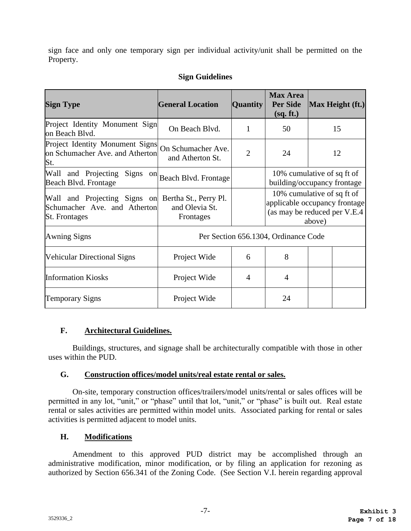sign face and only one temporary sign per individual activity/unit shall be permitted on the Property.

# **Sign Guidelines**

| <b>Sign Type</b>                                                                                           | <b>General Location</b>                | <b>Quantity</b> | <b>Max Area</b><br><b>Per Side</b><br>(sq. ft.)                                             |        | Max Height (ft.) |
|------------------------------------------------------------------------------------------------------------|----------------------------------------|-----------------|---------------------------------------------------------------------------------------------|--------|------------------|
| Project Identity Monument Sign<br>on Beach Blvd.                                                           | On Beach Blvd.                         | 1               | 50                                                                                          |        | 15               |
| Project Identity Monument Signs<br>on Schumacher Ave. and Atherton<br>St.                                  | On Schumacher Ave.<br>and Atherton St. | $\overline{2}$  | 24                                                                                          |        | 12               |
| Signs on<br>Wall and Projecting<br>Beach Blvd. Frontage                                                    | Beach Blvd. Frontage                   |                 | 10% cumulative of sq ft of<br>building/occupancy frontage                                   |        |                  |
| Wall and Projecting Signs on Bertha St., Perry Pl.<br>Schumacher Ave. and Atherton<br><b>St.</b> Frontages | and Olevia St.<br>Frontages            |                 | 10% cumulative of sq ft of<br>applicable occupancy frontage<br>(as may be reduced per V.E.4 | above) |                  |
| <b>Awning Signs</b>                                                                                        |                                        |                 | Per Section 656.1304, Ordinance Code                                                        |        |                  |
| <b>Vehicular Directional Signs</b>                                                                         | Project Wide                           | 6               | 8                                                                                           |        |                  |
| <b>Information Kiosks</b>                                                                                  | Project Wide                           | 4               | 4                                                                                           |        |                  |
| <b>Temporary Signs</b>                                                                                     | Project Wide                           |                 | 24                                                                                          |        |                  |

# **F. Architectural Guidelines.**

Buildings, structures, and signage shall be architecturally compatible with those in other uses within the PUD.

#### **G. Construction offices/model units/real estate rental or sales.**

On-site, temporary construction offices/trailers/model units/rental or sales offices will be permitted in any lot, "unit," or "phase" until that lot, "unit," or "phase" is built out. Real estate rental or sales activities are permitted within model units. Associated parking for rental or sales activities is permitted adjacent to model units.

# **H. Modifications**

Amendment to this approved PUD district may be accomplished through an administrative modification, minor modification, or by filing an application for rezoning as authorized by Section 656.341 of the Zoning Code. (See Section V.I. herein regarding approval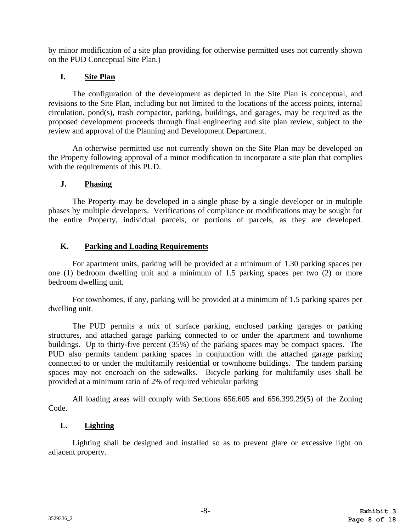by minor modification of a site plan providing for otherwise permitted uses not currently shown on the PUD Conceptual Site Plan.)

# **I. Site Plan**

The configuration of the development as depicted in the Site Plan is conceptual, and revisions to the Site Plan, including but not limited to the locations of the access points, internal circulation, pond(s), trash compactor, parking, buildings, and garages, may be required as the proposed development proceeds through final engineering and site plan review, subject to the review and approval of the Planning and Development Department.

An otherwise permitted use not currently shown on the Site Plan may be developed on the Property following approval of a minor modification to incorporate a site plan that complies with the requirements of this PUD.

# **J. Phasing**

The Property may be developed in a single phase by a single developer or in multiple phases by multiple developers. Verifications of compliance or modifications may be sought for the entire Property, individual parcels, or portions of parcels, as they are developed.

# **K. Parking and Loading Requirements**

For apartment units, parking will be provided at a minimum of 1.30 parking spaces per one (1) bedroom dwelling unit and a minimum of 1.5 parking spaces per two (2) or more bedroom dwelling unit.

For townhomes, if any, parking will be provided at a minimum of 1.5 parking spaces per dwelling unit.

The PUD permits a mix of surface parking, enclosed parking garages or parking structures, and attached garage parking connected to or under the apartment and townhome buildings. Up to thirty-five percent (35%) of the parking spaces may be compact spaces. The PUD also permits tandem parking spaces in conjunction with the attached garage parking connected to or under the multifamily residential or townhome buildings. The tandem parking spaces may not encroach on the sidewalks. Bicycle parking for multifamily uses shall be provided at a minimum ratio of 2% of required vehicular parking

All loading areas will comply with Sections 656.605 and 656.399.29(5) of the Zoning Code.

# **L. Lighting**

Lighting shall be designed and installed so as to prevent glare or excessive light on adjacent property.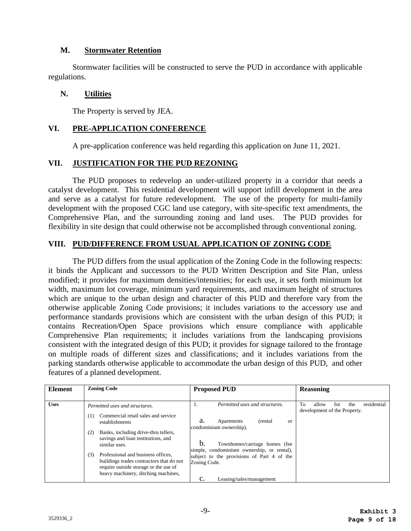#### **M. Stormwater Retention**

Stormwater facilities will be constructed to serve the PUD in accordance with applicable regulations.

#### **N. Utilities**

The Property is served by JEA.

# **VI. PRE-APPLICATION CONFERENCE**

A pre-application conference was held regarding this application on June 11, 2021.

#### **VII. JUSTIFICATION FOR THE PUD REZONING**

The PUD proposes to redevelop an under-utilized property in a corridor that needs a catalyst development. This residential development will support infill development in the area and serve as a catalyst for future redevelopment. The use of the property for multi-family development with the proposed CGC land use category, with site-specific text amendments, the Comprehensive Plan, and the surrounding zoning and land uses. The PUD provides for flexibility in site design that could otherwise not be accomplished through conventional zoning.

#### **VIII. PUD/DIFFERENCE FROM USUAL APPLICATION OF ZONING CODE**

The PUD differs from the usual application of the Zoning Code in the following respects: it binds the Applicant and successors to the PUD Written Description and Site Plan, unless modified; it provides for maximum densities/intensities; for each use, it sets forth minimum lot width, maximum lot coverage, minimum yard requirements, and maximum height of structures which are unique to the urban design and character of this PUD and therefore vary from the otherwise applicable Zoning Code provisions; it includes variations to the accessory use and performance standards provisions which are consistent with the urban design of this PUD; it contains Recreation/Open Space provisions which ensure compliance with applicable Comprehensive Plan requirements; it includes variations from the landscaping provisions consistent with the integrated design of this PUD; it provides for signage tailored to the frontage on multiple roads of different sizes and classifications; and it includes variations from the parking standards otherwise applicable to accommodate the urban design of this PUD, and other features of a planned development.

| <b>Element</b>       | <b>Zoning Code</b>                                                                                                                                                    | <b>Proposed PUD</b>                                                                                      | <b>Reasoning</b>                                                         |
|----------------------|-----------------------------------------------------------------------------------------------------------------------------------------------------------------------|----------------------------------------------------------------------------------------------------------|--------------------------------------------------------------------------|
| <b>Uses</b>          | Permitted uses and structures.                                                                                                                                        | Permitted uses and structures.                                                                           | To<br>residential<br>allow<br>the<br>for<br>development of the Property. |
|                      | Commercial retail sales and service<br>(1)<br>establishments                                                                                                          | a.<br>Apartments<br>(rental)<br><sub>or</sub><br>condominium ownership).                                 |                                                                          |
| (2)<br>similar uses. | Banks, including drive-thru tellers,<br>savings and loan institutions, and                                                                                            | h.<br>Townhomes/carriage homes (fee                                                                      |                                                                          |
|                      | Professional and business offices,<br>(3)<br>buildings trades contractors that do not<br>require outside storage or the use of<br>heavy machinery, ditching machines, | simple, condominium ownership, or rental),<br>subject to the provisions of Part 4 of the<br>Zoning Code. |                                                                          |
|                      |                                                                                                                                                                       | c.<br>Leasing/sales/management                                                                           |                                                                          |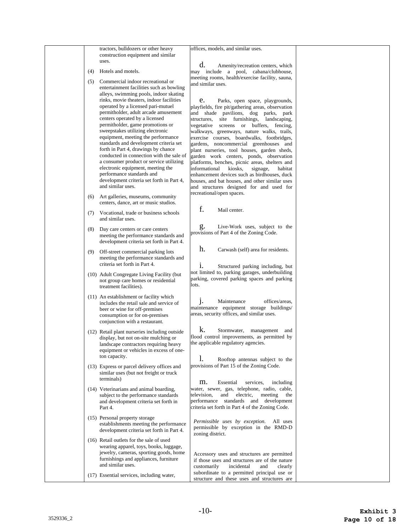|     | tractors, bulldozers or other heavy<br>construction equipment and similar          | offices, models, and similar uses.                                                             |  |
|-----|------------------------------------------------------------------------------------|------------------------------------------------------------------------------------------------|--|
|     | uses.                                                                              |                                                                                                |  |
|     | Hotels and motels.                                                                 | d.<br>Amenity/recreation centers, which                                                        |  |
| (4) |                                                                                    | may include a pool, cabana/clubhouse,<br>meeting rooms, health/exercise facility, sauna,       |  |
| (5) | Commercial indoor recreational or                                                  | and similar uses.                                                                              |  |
|     | entertainment facilities such as bowling<br>alleys, swimming pools, indoor skating |                                                                                                |  |
|     | rinks, movie theaters, indoor facilities                                           | e.<br>Parks, open space, playgrounds,                                                          |  |
|     | operated by a licensed pari-mutuel                                                 | playfields, fire pit/gathering areas, observation                                              |  |
|     | permitholder, adult arcade amusement<br>centers operated by a licensed             | and shade pavilions, dog parks, park<br>structures, site furnishings, landscaping,             |  |
|     | permitholder, game promotions or                                                   | vegetative screens or buffers, fencing,                                                        |  |
|     | sweepstakes utilizing electronic                                                   | walkways, greenways, nature walks, trails,                                                     |  |
|     | equipment, meeting the performance<br>standards and development criteria set       | exercise courses, boardwalks, footbridges,<br>gardens, noncommercial greenhouses and           |  |
|     | forth in Part 4, drawings by chance                                                | plant nurseries, tool houses, garden sheds,                                                    |  |
|     | conducted in connection with the sale of                                           | garden work centers, ponds, observation                                                        |  |
|     | a consumer product or service utilizing<br>electronic equipment, meeting the       | platforms, benches, picnic areas, shelters and<br>informational kiosks,<br>signage,<br>habitat |  |
|     | performance standards and                                                          | enhancement devices such as birdhouses, duck                                                   |  |
|     | development criteria set forth in Part 4,                                          | houses, and bat houses, and other similar uses                                                 |  |
|     | and similar uses.                                                                  | and structures designed for and used for<br>recreational/open spaces.                          |  |
| (6) | Art galleries, museums, community                                                  |                                                                                                |  |
|     | centers, dance, art or music studios.                                              | f.<br>Mail center.                                                                             |  |
| (7) | Vocational, trade or business schools<br>and similar uses.                         |                                                                                                |  |
|     |                                                                                    | g.<br>Live-Work uses, subject to the                                                           |  |
| (8) | Day care centers or care centers<br>meeting the performance standards and          | provisions of Part 4 of the Zoning Code.                                                       |  |
|     | development criteria set forth in Part 4.                                          |                                                                                                |  |
| (9) | Off-street commercial parking lots                                                 | h.<br>Carwash (self) area for residents.                                                       |  |
|     | meeting the performance standards and                                              |                                                                                                |  |
|     | criteria set forth in Part 4.                                                      | i.<br>Structured parking including, but                                                        |  |
|     | (10) Adult Congregate Living Facility (but)                                        | not limited to, parking garages, underbuilding                                                 |  |
|     | not group care homes or residential                                                | parking, covered parking spaces and parking<br>lots.                                           |  |
|     | treatment facilities).                                                             |                                                                                                |  |
|     | (11) An establishment or facility which<br>includes the retail sale and service of | j.<br>Maintenance<br>offices/areas,                                                            |  |
|     | beer or wine for off-premises                                                      | maintenance equipment storage buildings/                                                       |  |
|     | consumption or for on-premises                                                     | areas, security offices, and similar uses.                                                     |  |
|     | conjunction with a restaurant.                                                     |                                                                                                |  |
|     | (12) Retail plant nurseries including outside                                      | k.<br>Stormwater, management and                                                               |  |
|     | display, but not on-site mulching or<br>landscape contractors requiring heavy      | flood control improvements, as permitted by<br>the applicable regulatory agencies.             |  |
|     | equipment or vehicles in excess of one-                                            |                                                                                                |  |
|     | ton capacity.                                                                      | 1.<br>Rooftop antennas subject to the                                                          |  |
|     | (13) Express or parcel delivery offices and                                        | provisions of Part 15 of the Zoning Code.                                                      |  |
|     | similar uses (but not freight or truck                                             |                                                                                                |  |
|     | terminals)                                                                         | m.<br>Essential<br>services,<br>including                                                      |  |
|     | (14) Veterinarians and animal boarding,<br>subject to the performance standards    | water, sewer, gas, telephone, radio, cable,<br>electric,<br>television.<br>and<br>meeting the  |  |
|     | and development criteria set forth in                                              | performance standards and development                                                          |  |
|     | Part 4.                                                                            | criteria set forth in Part 4 of the Zoning Code.                                               |  |
|     | (15) Personal property storage                                                     |                                                                                                |  |
|     | establishments meeting the performance                                             | Permissible uses by exception.<br>All uses<br>permissible by exception in the RMD-D            |  |
|     | development criteria set forth in Part 4.                                          | zoning district.                                                                               |  |
|     | (16) Retail outlets for the sale of used                                           |                                                                                                |  |
|     | wearing apparel, toys, books, luggage,<br>jewelry, cameras, sporting goods, home   |                                                                                                |  |
|     | furnishings and appliances, furniture                                              | Accessory uses and structures are permitted<br>if those uses and structures are of the nature  |  |
|     | and similar uses.                                                                  | customarily<br>incidental<br>and<br>clearly                                                    |  |
|     | (17) Essential services, including water,                                          | subordinate to a permitted principal use or<br>structure and these uses and structures are     |  |
|     |                                                                                    |                                                                                                |  |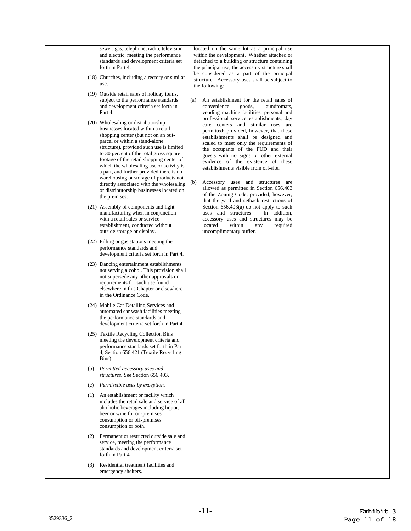|     | sewer, gas, telephone, radio, television<br>and electric, meeting the performance<br>standards and development criteria set<br>forth in Part 4.<br>(18) Churches, including a rectory or similar<br>use.                                                                                                                                                                                                                |     | located on the same lot as a principal use<br>within the development. Whether attached or<br>detached to a building or structure containing<br>the principal use, the accessory structure shall<br>be considered as a part of the principal<br>structure. Accessory uses shall be subject to<br>the following:                                                              |  |
|-----|-------------------------------------------------------------------------------------------------------------------------------------------------------------------------------------------------------------------------------------------------------------------------------------------------------------------------------------------------------------------------------------------------------------------------|-----|-----------------------------------------------------------------------------------------------------------------------------------------------------------------------------------------------------------------------------------------------------------------------------------------------------------------------------------------------------------------------------|--|
|     | (19) Outside retail sales of holiday items,<br>subject to the performance standards<br>and development criteria set forth in<br>Part 4.                                                                                                                                                                                                                                                                                 | (a) | An establishment for the retail sales of<br>goods,<br>laundromats,<br>convenience<br>vending machine facilities, personal and                                                                                                                                                                                                                                               |  |
|     | (20) Wholesaling or distributorship<br>businesses located within a retail<br>shopping center (but not on an out-<br>parcel or within a stand-alone<br>structure), provided such use is limited<br>to 30 percent of the total gross square<br>footage of the retail shopping center of<br>which the wholesaling use or activity is<br>a part, and further provided there is no<br>warehousing or storage of products not |     | professional service establishments, day<br>care centers and similar uses are<br>permitted; provided, however, that these<br>establishments shall be designed and<br>scaled to meet only the requirements of<br>the occupants of the PUD and their<br>guests with no signs or other external<br>evidence of the existence of these<br>establishments visible from off-site. |  |
|     | directly associated with the wholesaling<br>or distributorship businesses located on<br>the premises.                                                                                                                                                                                                                                                                                                                   | (b) | Accessory uses and structures are<br>allowed as permitted in Section 656.403<br>of the Zoning Code; provided, however,<br>that the yard and setback restrictions of                                                                                                                                                                                                         |  |
|     | (21) Assembly of components and light<br>manufacturing when in conjunction<br>with a retail sales or service<br>establishment, conducted without<br>outside storage or display.                                                                                                                                                                                                                                         |     | Section $656.403(a)$ do not apply to such<br>uses and structures.<br>In addition,<br>accessory uses and structures may be<br>located<br>within<br>required<br>any<br>uncomplimentary buffer.                                                                                                                                                                                |  |
|     | (22) Filling or gas stations meeting the<br>performance standards and<br>development criteria set forth in Part 4.                                                                                                                                                                                                                                                                                                      |     |                                                                                                                                                                                                                                                                                                                                                                             |  |
|     | (23) Dancing entertainment establishments<br>not serving alcohol. This provision shall<br>not supersede any other approvals or<br>requirements for such use found<br>elsewhere in this Chapter or elsewhere<br>in the Ordinance Code.                                                                                                                                                                                   |     |                                                                                                                                                                                                                                                                                                                                                                             |  |
|     | (24) Mobile Car Detailing Services and<br>automated car wash facilities meeting<br>the performance standards and<br>development criteria set forth in Part 4.                                                                                                                                                                                                                                                           |     |                                                                                                                                                                                                                                                                                                                                                                             |  |
|     | (25) Textile Recycling Collection Bins<br>meeting the development criteria and<br>performance standards set forth in Part<br>4, Section 656.421 (Textile Recycling<br>Bins).                                                                                                                                                                                                                                            |     |                                                                                                                                                                                                                                                                                                                                                                             |  |
|     | (b) Permitted accessory uses and<br>structures. See Section 656.403.                                                                                                                                                                                                                                                                                                                                                    |     |                                                                                                                                                                                                                                                                                                                                                                             |  |
| (c) | Permissible uses by exception.                                                                                                                                                                                                                                                                                                                                                                                          |     |                                                                                                                                                                                                                                                                                                                                                                             |  |
| (1) | An establishment or facility which<br>includes the retail sale and service of all<br>alcoholic beverages including liquor,<br>beer or wine for on-premises<br>consumption or off-premises<br>consumption or both.                                                                                                                                                                                                       |     |                                                                                                                                                                                                                                                                                                                                                                             |  |
| (2) | Permanent or restricted outside sale and<br>service, meeting the performance<br>standards and development criteria set<br>forth in Part 4.                                                                                                                                                                                                                                                                              |     |                                                                                                                                                                                                                                                                                                                                                                             |  |
| (3) | Residential treatment facilities and<br>emergency shelters.                                                                                                                                                                                                                                                                                                                                                             |     |                                                                                                                                                                                                                                                                                                                                                                             |  |
|     |                                                                                                                                                                                                                                                                                                                                                                                                                         |     |                                                                                                                                                                                                                                                                                                                                                                             |  |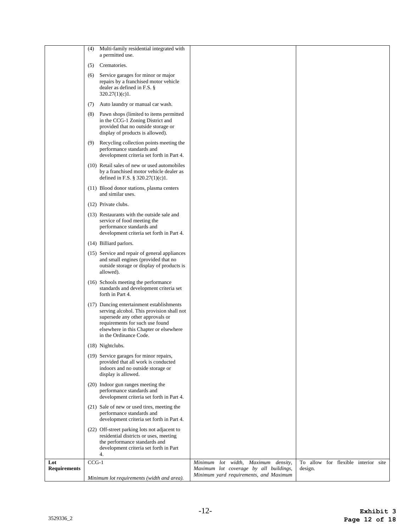|                     | Minimum lot requirements (width and area).                                                                                                 |                                                                                      | Minimum yard requirements, and Maximum |          |                            |  |
|---------------------|--------------------------------------------------------------------------------------------------------------------------------------------|--------------------------------------------------------------------------------------|----------------------------------------|----------|----------------------------|--|
| <b>Requirements</b> |                                                                                                                                            |                                                                                      | Maximum lot coverage by all buildings, | design.  |                            |  |
| Lot                 | the performance standards and<br>development criteria set forth in Part<br>4.<br>$CCG-1$                                                   |                                                                                      | lot width, Maximum density,<br>Minimum | To allow | for flexible interior site |  |
|                     | (22) Off-street parking lots not adjacent to<br>residential districts or uses, meeting                                                     |                                                                                      |                                        |          |                            |  |
|                     | (21) Sale of new or used tires, meeting the<br>performance standards and                                                                   | development criteria set forth in Part 4.                                            |                                        |          |                            |  |
|                     | (20) Indoor gun ranges meeting the<br>performance standards and                                                                            | development criteria set forth in Part 4.                                            |                                        |          |                            |  |
|                     | display is allowed.                                                                                                                        |                                                                                      |                                        |          |                            |  |
|                     | (19) Service garages for minor repairs,<br>provided that all work is conducted<br>indoors and no outside storage or                        |                                                                                      |                                        |          |                            |  |
|                     | (18) Nightclubs.                                                                                                                           |                                                                                      |                                        |          |                            |  |
|                     | (17) Dancing entertainment establishments<br>supersede any other approvals or<br>requirements for such use found<br>in the Ordinance Code. | serving alcohol. This provision shall not<br>elsewhere in this Chapter or elsewhere  |                                        |          |                            |  |
|                     | (16) Schools meeting the performance<br>standards and development criteria set<br>forth in Part 4.                                         |                                                                                      |                                        |          |                            |  |
|                     | (15) Service and repair of general appliances<br>and small engines (provided that no<br>allowed).                                          | outside storage or display of products is                                            |                                        |          |                            |  |
|                     | (14) Billiard parlors.                                                                                                                     |                                                                                      |                                        |          |                            |  |
|                     | (13) Restaurants with the outside sale and<br>service of food meeting the<br>performance standards and                                     | development criteria set forth in Part 4.                                            |                                        |          |                            |  |
|                     | (12) Private clubs.                                                                                                                        |                                                                                      |                                        |          |                            |  |
|                     | (11) Blood donor stations, plasma centers<br>and similar uses.                                                                             |                                                                                      |                                        |          |                            |  |
|                     | (10) Retail sales of new or used automobiles<br>defined in F.S. $\S 320.27(1)(c)1$ .                                                       | by a franchised motor vehicle dealer as                                              |                                        |          |                            |  |
|                     | (9)<br>performance standards and                                                                                                           | Recycling collection points meeting the<br>development criteria set forth in Part 4. |                                        |          |                            |  |
|                     | (8)<br>in the CCG-1 Zoning District and<br>provided that no outside storage or<br>display of products is allowed).                         | Pawn shops (limited to items permitted                                               |                                        |          |                            |  |
|                     | Auto laundry or manual car wash.<br>(7)                                                                                                    |                                                                                      |                                        |          |                            |  |
|                     | Service garages for minor or major<br>(6)<br>repairs by a franchised motor vehicle<br>dealer as defined in F.S. §<br>320.27(1)(c)1.        |                                                                                      |                                        |          |                            |  |
|                     | a permitted use.<br>Crematories.<br>(5)                                                                                                    |                                                                                      |                                        |          |                            |  |
|                     | (4)                                                                                                                                        | Multi-family residential integrated with                                             |                                        |          |                            |  |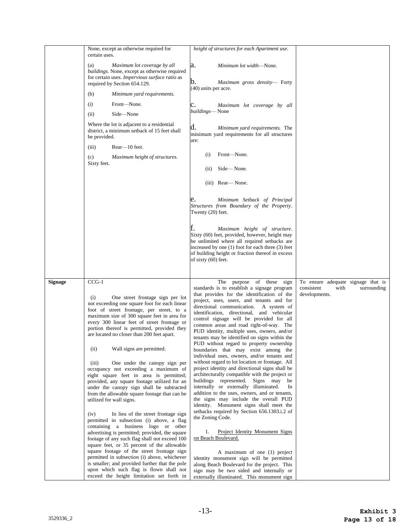|                | None, except as otherwise required for<br>certain uses.                                                                                                                                                                                                                                                                                                                                                                                                                                                                                                                                                                                                                                                                                                                                                                                                                                                                                                                                                                                                                                                                                                                                                              | height of structures for each Apartment use.                                                                                                                                                                                                                                                                                                                                                                                                                                                                                                                                                                                                                                                                                                                                                                                                                                                                                                                                                                                                                                                                                                                                                                                                                                                                                           |                                                                                          |
|----------------|----------------------------------------------------------------------------------------------------------------------------------------------------------------------------------------------------------------------------------------------------------------------------------------------------------------------------------------------------------------------------------------------------------------------------------------------------------------------------------------------------------------------------------------------------------------------------------------------------------------------------------------------------------------------------------------------------------------------------------------------------------------------------------------------------------------------------------------------------------------------------------------------------------------------------------------------------------------------------------------------------------------------------------------------------------------------------------------------------------------------------------------------------------------------------------------------------------------------|----------------------------------------------------------------------------------------------------------------------------------------------------------------------------------------------------------------------------------------------------------------------------------------------------------------------------------------------------------------------------------------------------------------------------------------------------------------------------------------------------------------------------------------------------------------------------------------------------------------------------------------------------------------------------------------------------------------------------------------------------------------------------------------------------------------------------------------------------------------------------------------------------------------------------------------------------------------------------------------------------------------------------------------------------------------------------------------------------------------------------------------------------------------------------------------------------------------------------------------------------------------------------------------------------------------------------------------|------------------------------------------------------------------------------------------|
|                | Maximum lot coverage by all<br>(a)<br>buildings. None, except as otherwise required<br>for certain uses. Impervious surface ratio as<br>required by Section 654.129.                                                                                                                                                                                                                                                                                                                                                                                                                                                                                                                                                                                                                                                                                                                                                                                                                                                                                                                                                                                                                                                 | a.<br>Minimum lot width-None.<br>b.<br>Maximum gross density- Forty                                                                                                                                                                                                                                                                                                                                                                                                                                                                                                                                                                                                                                                                                                                                                                                                                                                                                                                                                                                                                                                                                                                                                                                                                                                                    |                                                                                          |
|                | Minimum yard requirements.<br>(b)                                                                                                                                                                                                                                                                                                                                                                                                                                                                                                                                                                                                                                                                                                                                                                                                                                                                                                                                                                                                                                                                                                                                                                                    | (40) units per acre.                                                                                                                                                                                                                                                                                                                                                                                                                                                                                                                                                                                                                                                                                                                                                                                                                                                                                                                                                                                                                                                                                                                                                                                                                                                                                                                   |                                                                                          |
|                | (i)<br>Front-None.                                                                                                                                                                                                                                                                                                                                                                                                                                                                                                                                                                                                                                                                                                                                                                                                                                                                                                                                                                                                                                                                                                                                                                                                   | Maximum lot coverage by all<br>с.                                                                                                                                                                                                                                                                                                                                                                                                                                                                                                                                                                                                                                                                                                                                                                                                                                                                                                                                                                                                                                                                                                                                                                                                                                                                                                      |                                                                                          |
|                | Side-None<br>(ii)                                                                                                                                                                                                                                                                                                                                                                                                                                                                                                                                                                                                                                                                                                                                                                                                                                                                                                                                                                                                                                                                                                                                                                                                    | buildings-None                                                                                                                                                                                                                                                                                                                                                                                                                                                                                                                                                                                                                                                                                                                                                                                                                                                                                                                                                                                                                                                                                                                                                                                                                                                                                                                         |                                                                                          |
|                | Where the lot is adjacent to a residential<br>district, a minimum setback of 15 feet shall<br>be provided.                                                                                                                                                                                                                                                                                                                                                                                                                                                                                                                                                                                                                                                                                                                                                                                                                                                                                                                                                                                                                                                                                                           | d.<br>Minimum yard requirements. The<br>minimum yard requirements for all structures<br>are:                                                                                                                                                                                                                                                                                                                                                                                                                                                                                                                                                                                                                                                                                                                                                                                                                                                                                                                                                                                                                                                                                                                                                                                                                                           |                                                                                          |
|                | Rear-10 feet.<br>(iii)                                                                                                                                                                                                                                                                                                                                                                                                                                                                                                                                                                                                                                                                                                                                                                                                                                                                                                                                                                                                                                                                                                                                                                                               |                                                                                                                                                                                                                                                                                                                                                                                                                                                                                                                                                                                                                                                                                                                                                                                                                                                                                                                                                                                                                                                                                                                                                                                                                                                                                                                                        |                                                                                          |
|                | (c)<br>Maximum height of structures.                                                                                                                                                                                                                                                                                                                                                                                                                                                                                                                                                                                                                                                                                                                                                                                                                                                                                                                                                                                                                                                                                                                                                                                 | Front-None.<br>(i)                                                                                                                                                                                                                                                                                                                                                                                                                                                                                                                                                                                                                                                                                                                                                                                                                                                                                                                                                                                                                                                                                                                                                                                                                                                                                                                     |                                                                                          |
|                | Sixty feet.                                                                                                                                                                                                                                                                                                                                                                                                                                                                                                                                                                                                                                                                                                                                                                                                                                                                                                                                                                                                                                                                                                                                                                                                          | Side-None.<br>(i)                                                                                                                                                                                                                                                                                                                                                                                                                                                                                                                                                                                                                                                                                                                                                                                                                                                                                                                                                                                                                                                                                                                                                                                                                                                                                                                      |                                                                                          |
|                |                                                                                                                                                                                                                                                                                                                                                                                                                                                                                                                                                                                                                                                                                                                                                                                                                                                                                                                                                                                                                                                                                                                                                                                                                      | (iii) Rear-None.                                                                                                                                                                                                                                                                                                                                                                                                                                                                                                                                                                                                                                                                                                                                                                                                                                                                                                                                                                                                                                                                                                                                                                                                                                                                                                                       |                                                                                          |
|                |                                                                                                                                                                                                                                                                                                                                                                                                                                                                                                                                                                                                                                                                                                                                                                                                                                                                                                                                                                                                                                                                                                                                                                                                                      | e.<br>Minimum Setback of Principal<br>Structures from Boundary of the Property.<br>Twenty (20) feet.                                                                                                                                                                                                                                                                                                                                                                                                                                                                                                                                                                                                                                                                                                                                                                                                                                                                                                                                                                                                                                                                                                                                                                                                                                   |                                                                                          |
|                |                                                                                                                                                                                                                                                                                                                                                                                                                                                                                                                                                                                                                                                                                                                                                                                                                                                                                                                                                                                                                                                                                                                                                                                                                      | Maximum height of structure.<br>Sixty (60) feet, provided, however, height may<br>be unlimited where all required setbacks are<br>increased by one (1) foot for each three (3) feet<br>of building height or fraction thereof in excess<br>of sixty (60) feet.                                                                                                                                                                                                                                                                                                                                                                                                                                                                                                                                                                                                                                                                                                                                                                                                                                                                                                                                                                                                                                                                         |                                                                                          |
| <b>Signage</b> | $CCG-1$<br>One street frontage sign per lot<br>(i)<br>not exceeding one square foot for each linear<br>foot of street frontage, per street, to a<br>maximum size of 300 square feet in area for<br>every 300 linear feet of street frontage or<br>portion thereof is permitted, provided they<br>are located no closer than 200 feet apart.<br>Wall signs are permitted.<br>(ii)<br>One under the canopy sign per<br>(iii)<br>occupancy not exceeding a maximum of<br>eight square feet in area is permitted;<br>provided, any square footage utilized for an<br>under the canopy sign shall be subtracted<br>from the allowable square footage that can be<br>utilized for wall signs.<br>In lieu of the street frontage sign<br>(iv)<br>permitted in subsection (i) above, a flag<br>containing a business logo or other<br>advertising is permitted; provided, the square<br>footage of any such flag shall not exceed 100<br>square feet, or 35 percent of the allowable<br>square footage of the street frontage sign<br>permitted in subsection (i) above, whichever<br>is smaller; and provided further that the pole<br>upon which such flag is flown shall not<br>exceed the height limitation set forth in | The purpose of these<br>sign<br>standards is to establish a signage program<br>that provides for the identification of the<br>project, uses, users, and tenants and for<br>directional communication. A system of<br>identification, directional, and vehicular<br>control signage will be provided for all<br>common areas and road right-of-way. The<br>PUD identity, multiple uses, owners, and/or<br>tenants may be identified on signs within the<br>PUD without regard to property ownership<br>boundaries that may exist among the<br>individual uses, owners, and/or tenants and<br>without regard to lot location or frontage. All<br>project identity and directional signs shall be<br>architecturally compatible with the project or<br>buildings represented. Signs may<br>be<br>internally or externally illuminated.<br>In<br>addition to the uses, owners, and or tenants,<br>the signs may include the overall PUD<br>identity. Monument signs shall meet the<br>setbacks required by Section 656.1303.i.2 of<br>the Zoning Code.<br>Project Identity Monument Signs<br>1.<br>on Beach Boulevard.<br>A maximum of one (1) project<br>identity monument sign will be permitted<br>along Beach Boulevard for the project. This<br>sign may be two sided and internally or<br>externally illuminated. This monument sign | To ensure adequate signage that is<br>consistent<br>with<br>surrounding<br>developments. |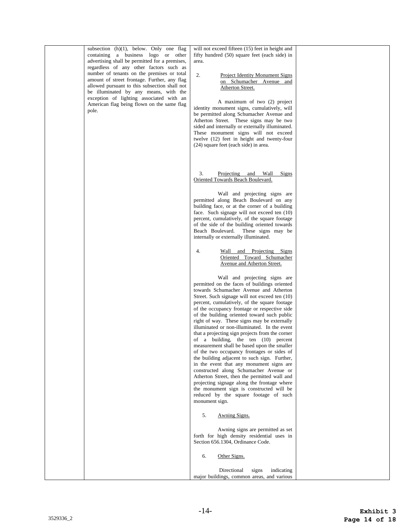| subsection $(h)(1)$ , below. Only one flag<br>containing a business logo or other<br>advertising shall be permitted for a premises,<br>regardless of any other factors such as<br>number of tenants on the premises or total<br>amount of street frontage. Further, any flag<br>allowed pursuant to this subsection shall not<br>be illuminated by any means, with the<br>exception of lighting associated with an<br>American flag being flown on the same flag<br>pole. | will not exceed fifteen (15) feet in height and<br>fifty hundred (50) square feet (each side) in<br>area.<br>2.<br><b>Project Identity Monument Signs</b><br>on Schumacher Avenue and<br>Atherton Street.<br>A maximum of two (2) project<br>identity monument signs, cumulatively, will<br>be permitted along Schumacher Avenue and<br>Atherton Street. These signs may be two<br>sided and internally or externally illuminated.<br>These monument signs will not exceed<br>twelve (12) feet in height and twenty-four<br>(24) square feet (each side) in area.                                                                                                                                                                                                                                                                                                                                                                                                      |  |
|---------------------------------------------------------------------------------------------------------------------------------------------------------------------------------------------------------------------------------------------------------------------------------------------------------------------------------------------------------------------------------------------------------------------------------------------------------------------------|------------------------------------------------------------------------------------------------------------------------------------------------------------------------------------------------------------------------------------------------------------------------------------------------------------------------------------------------------------------------------------------------------------------------------------------------------------------------------------------------------------------------------------------------------------------------------------------------------------------------------------------------------------------------------------------------------------------------------------------------------------------------------------------------------------------------------------------------------------------------------------------------------------------------------------------------------------------------|--|
|                                                                                                                                                                                                                                                                                                                                                                                                                                                                           | 3.<br>Projecting and Wall<br>Signs<br>Oriented Towards Beach Boulevard.<br>Wall and projecting signs are<br>permitted along Beach Boulevard on any<br>building face, or at the corner of a building<br>face. Such signage will not exceed ten (10)<br>percent, cumulatively, of the square footage<br>of the side of the building oriented towards<br>Beach Boulevard. These signs may be<br>internally or externally illuminated.<br>Wall and Projecting Signs<br>4.<br>Oriented Toward Schumacher                                                                                                                                                                                                                                                                                                                                                                                                                                                                    |  |
|                                                                                                                                                                                                                                                                                                                                                                                                                                                                           | Avenue and Atherton Street.<br>Wall and projecting signs are<br>permitted on the faces of buildings oriented<br>towards Schumacher Avenue and Atherton<br>Street. Such signage will not exceed ten (10)<br>percent, cumulatively, of the square footage<br>of the occupancy frontage or respective side<br>of the building oriented toward such public<br>right of way. These signs may be externally<br>illuminated or non-illuminated. In the event<br>that a projecting sign projects from the corner<br>of a building, the ten (10) percent<br>measurement shall be based upon the smaller<br>of the two occupancy frontages or sides of<br>the building adjacent to such sign. Further,<br>in the event that any monument signs are<br>constructed along Schumacher Avenue or<br>Atherton Street, then the permitted wall and<br>projecting signage along the frontage where<br>the monument sign is constructed will be<br>reduced by the square footage of such |  |
|                                                                                                                                                                                                                                                                                                                                                                                                                                                                           | monument sign.<br>5.<br>Awning Signs.<br>Awning signs are permitted as set<br>forth for high density residential uses in<br>Section 656.1304, Ordinance Code.<br>Other Signs.<br>6.<br>Directional<br>signs<br>indicating<br>major buildings, common areas, and various                                                                                                                                                                                                                                                                                                                                                                                                                                                                                                                                                                                                                                                                                                |  |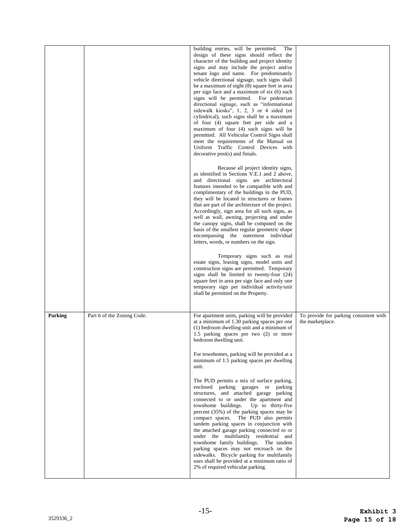|         |                            | building entries, will be permitted.<br>The<br>design of these signs should reflect the<br>character of the building and project identity<br>signs and may include the project and/or<br>tenant logo and name. For predominately<br>vehicle directional signage, such signs shall<br>be a maximum of eight (8) square feet in area<br>per sign face and a maximum of six (6) such<br>signs will be permitted. For pedestrian<br>directional signage, such as "informational<br>sidewalk kiosks", 1, 2, 3 or 4 sided (or<br>cylindrical), such signs shall be a maximum<br>of four (4) square feet per side and a<br>maximum of four (4) such signs will be<br>permitted. All Vehicular Control Signs shall<br>meet the requirements of the Manual on<br>Uniform Traffic Control Devices with<br>decorative post(s) and finials.                                                                                                                                                           |                                                            |
|---------|----------------------------|-------------------------------------------------------------------------------------------------------------------------------------------------------------------------------------------------------------------------------------------------------------------------------------------------------------------------------------------------------------------------------------------------------------------------------------------------------------------------------------------------------------------------------------------------------------------------------------------------------------------------------------------------------------------------------------------------------------------------------------------------------------------------------------------------------------------------------------------------------------------------------------------------------------------------------------------------------------------------------------------|------------------------------------------------------------|
|         |                            | Because all project identity signs,<br>as identified in Sections V.E.1 and 2 above,<br>and directional signs are architectural<br>features intended to be compatible with and<br>complimentary of the buildings in the PUD,<br>they will be located in structures or frames<br>that are part of the architecture of the project.<br>Accordingly, sign area for all such signs, as<br>well as wall, awning, projecting and under<br>the canopy signs, shall be computed on the<br>basis of the smallest regular geometric shape<br>encompassing the outermost individual<br>letters, words, or numbers on the sign.<br>Temporary signs such as real<br>estate signs, leasing signs, model units and<br>construction signs are permitted. Temporary<br>signs shall be limited to twenty-four (24)<br>square feet in area per sign face and only one<br>temporary sign per individual activity/unit<br>shall be permitted on the Property.                                                   |                                                            |
| Parking | Part 6 of the Zoning Code. | For apartment units, parking will be provided<br>at a minimum of 1.30 parking spaces per one<br>(1) bedroom dwelling unit and a minimum of<br>1.5 parking spaces per two (2) or more<br>bedroom dwelling unit.<br>For townhomes, parking will be provided at a<br>minimum of 1.5 parking spaces per dwelling<br>unit.<br>The PUD permits a mix of surface parking,<br>enclosed parking garages or parking<br>structures, and attached garage parking<br>connected to or under the apartment and<br>townhome buildings. Up to thirty-five<br>percent (35%) of the parking spaces may be<br>compact spaces. The PUD also permits<br>tandem parking spaces in conjunction with<br>the attached garage parking connected to or<br>under the multifamily residential and<br>townhome family buildings. The tandem<br>parking spaces may not encroach on the<br>sidewalks. Bicycle parking for multifamily<br>uses shall be provided at a minimum ratio of<br>2% of required vehicular parking. | To provide for parking consistent with<br>the marketplace. |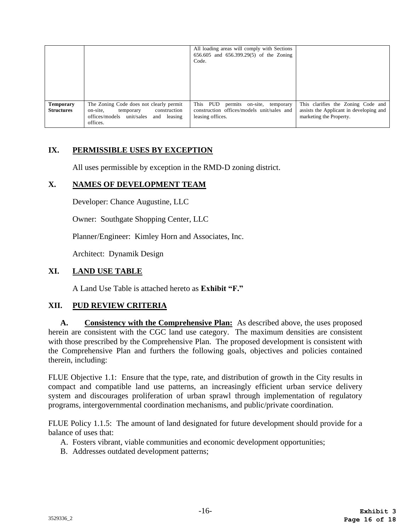|                                       |                                                                                                                                    | All loading areas will comply with Sections<br>656.605 and 656.399.29(5) of the Zoning<br>Code.       |                                                                                                          |
|---------------------------------------|------------------------------------------------------------------------------------------------------------------------------------|-------------------------------------------------------------------------------------------------------|----------------------------------------------------------------------------------------------------------|
| <b>Temporary</b><br><b>Structures</b> | The Zoning Code does not clearly permit<br>temporary construction<br>on-site.<br>offices/models unit/sales and leasing<br>offices. | This PUD permits on-site, temporary<br>construction offices/models unit/sales and<br>leasing offices. | This clarifies the Zoning Code and<br>assists the Applicant in developing and<br>marketing the Property. |

# **IX. PERMISSIBLE USES BY EXCEPTION**

All uses permissible by exception in the RMD-D zoning district.

# **X. NAMES OF DEVELOPMENT TEAM**

Developer: Chance Augustine, LLC

Owner: Southgate Shopping Center, LLC

Planner/Engineer: Kimley Horn and Associates, Inc.

Architect: Dynamik Design

# **XI. LAND USE TABLE**

A Land Use Table is attached hereto as **Exhibit "F."** 

# **XII. PUD REVIEW CRITERIA**

**A. Consistency with the Comprehensive Plan:** As described above, the uses proposed herein are consistent with the CGC land use category. The maximum densities are consistent with those prescribed by the Comprehensive Plan. The proposed development is consistent with the Comprehensive Plan and furthers the following goals, objectives and policies contained therein, including:

FLUE Objective 1.1: Ensure that the type, rate, and distribution of growth in the City results in compact and compatible land use patterns, an increasingly efficient urban service delivery system and discourages proliferation of urban sprawl through implementation of regulatory programs, intergovernmental coordination mechanisms, and public/private coordination.

FLUE Policy 1.1.5: The amount of land designated for future development should provide for a balance of uses that:

- A. Fosters vibrant, viable communities and economic development opportunities;
- B. Addresses outdated development patterns;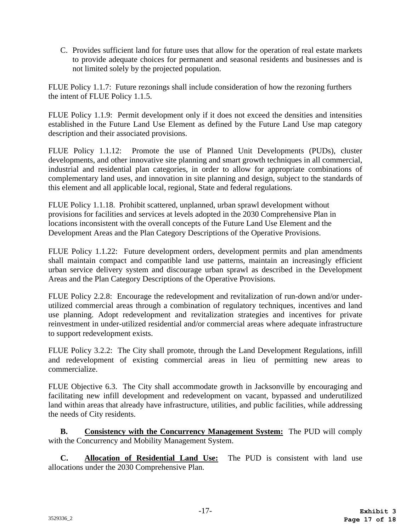C. Provides sufficient land for future uses that allow for the operation of real estate markets to provide adequate choices for permanent and seasonal residents and businesses and is not limited solely by the projected population.

FLUE Policy 1.1.7: Future rezonings shall include consideration of how the rezoning furthers the intent of FLUE Policy 1.1.5.

FLUE Policy 1.1.9: Permit development only if it does not exceed the densities and intensities established in the Future Land Use Element as defined by the Future Land Use map category description and their associated provisions.

FLUE Policy 1.1.12: Promote the use of Planned Unit Developments (PUDs), cluster developments, and other innovative site planning and smart growth techniques in all commercial, industrial and residential plan categories, in order to allow for appropriate combinations of complementary land uses, and innovation in site planning and design, subject to the standards of this element and all applicable local, regional, State and federal regulations.

FLUE Policy 1.1.18. Prohibit scattered, unplanned, urban sprawl development without provisions for facilities and services at levels adopted in the 2030 Comprehensive Plan in locations inconsistent with the overall concepts of the Future Land Use Element and the Development Areas and the Plan Category Descriptions of the Operative Provisions.

FLUE Policy 1.1.22: Future development orders, development permits and plan amendments shall maintain compact and compatible land use patterns, maintain an increasingly efficient urban service delivery system and discourage urban sprawl as described in the Development Areas and the Plan Category Descriptions of the Operative Provisions.

FLUE Policy 2.2.8: Encourage the redevelopment and revitalization of run-down and/or underutilized commercial areas through a combination of regulatory techniques, incentives and land use planning. Adopt redevelopment and revitalization strategies and incentives for private reinvestment in under-utilized residential and/or commercial areas where adequate infrastructure to support redevelopment exists.

FLUE Policy 3.2.2: The City shall promote, through the Land Development Regulations, infill and redevelopment of existing commercial areas in lieu of permitting new areas to commercialize.

FLUE Objective 6.3. The City shall accommodate growth in Jacksonville by encouraging and facilitating new infill development and redevelopment on vacant, bypassed and underutilized land within areas that already have infrastructure, utilities, and public facilities, while addressing the needs of City residents.

**B. Consistency with the Concurrency Management System:** The PUD will comply with the Concurrency and Mobility Management System.

**C. Allocation of Residential Land Use:** The PUD is consistent with land use allocations under the 2030 Comprehensive Plan.